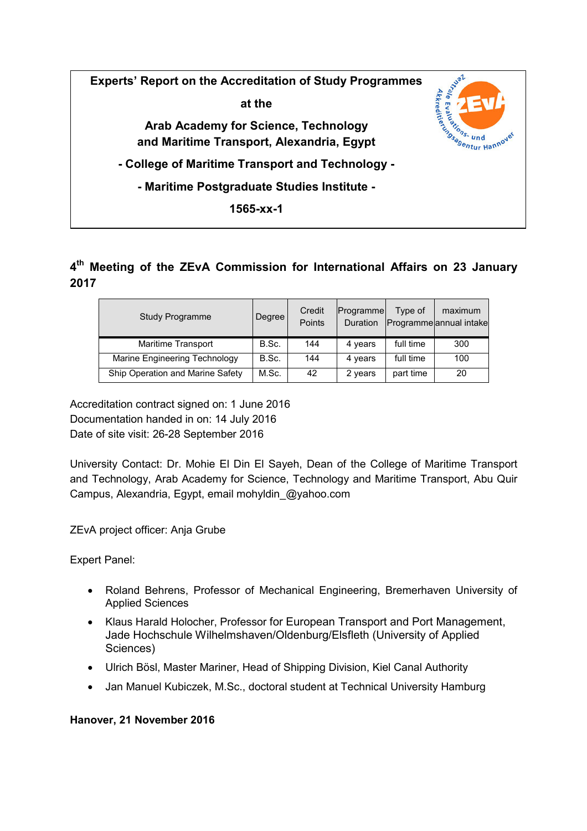

## **4 th Meeting of the ZEvA Commission for International Affairs on 23 January 2017**

| <b>Study Programme</b>           | Degree | Credit<br>Points | Programme<br><b>Duration</b> | Type of   | maximum<br>Programme annual intake |
|----------------------------------|--------|------------------|------------------------------|-----------|------------------------------------|
| Maritime Transport               | B.Sc.  | 144              | 4 years                      | full time | 300                                |
| Marine Engineering Technology    | B.Sc.  | 144              | 4 years                      | full time | 100                                |
| Ship Operation and Marine Safety | M.Sc.  | 42               | 2 years                      | part time | 20                                 |

Accreditation contract signed on: 1 June 2016 Documentation handed in on: 14 July 2016 Date of site visit: 26-28 September 2016

University Contact: Dr. Mohie El Din El Sayeh, Dean of the College of Maritime Transport and Technology, Arab Academy for Science, Technology and Maritime Transport, Abu Quir Campus, Alexandria, Egypt, email mohyldin\_@yahoo.com

ZEvA project officer: Anja Grube

Expert Panel:

- Roland Behrens, Professor of Mechanical Engineering, Bremerhaven University of Applied Sciences
- Klaus Harald Holocher, Professor for European Transport and Port Management, Jade Hochschule Wilhelmshaven/Oldenburg/Elsfleth (University of Applied Sciences)
- Ulrich Bösl, Master Mariner, Head of Shipping Division, Kiel Canal Authority
- Jan Manuel Kubiczek, M.Sc., doctoral student at Technical University Hamburg

## **Hanover, 21 November 2016**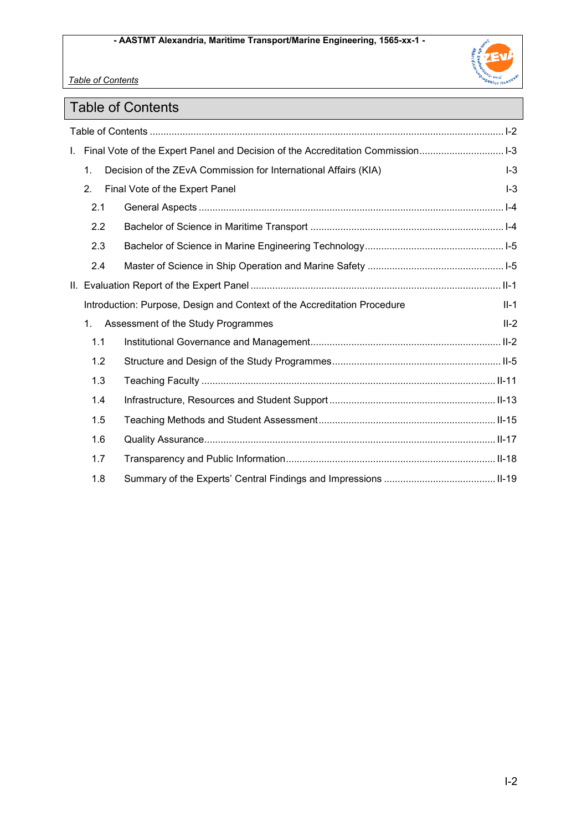

*Table of Contents* 

# Table of Contents

|     | 1-13 I. Final Vote of the Expert Panel and Decision of the Accreditation Commission |        |
|-----|-------------------------------------------------------------------------------------|--------|
| 1.  | Decision of the ZEvA Commission for International Affairs (KIA)                     | $I-3$  |
| 2.  | Final Vote of the Expert Panel                                                      | $I-3$  |
| 2.1 |                                                                                     |        |
| 2.2 |                                                                                     |        |
| 2.3 |                                                                                     |        |
| 2.4 |                                                                                     |        |
|     |                                                                                     |        |
|     | Introduction: Purpose, Design and Context of the Accreditation Procedure            | $II-1$ |
| 1.  | Assessment of the Study Programmes                                                  | $II-2$ |
| 1.1 |                                                                                     |        |
| 1.2 |                                                                                     |        |
| 1.3 |                                                                                     |        |
| 1.4 |                                                                                     |        |
| 1.5 |                                                                                     |        |
| 1.6 |                                                                                     |        |
| 1.7 |                                                                                     |        |
| 1.8 |                                                                                     |        |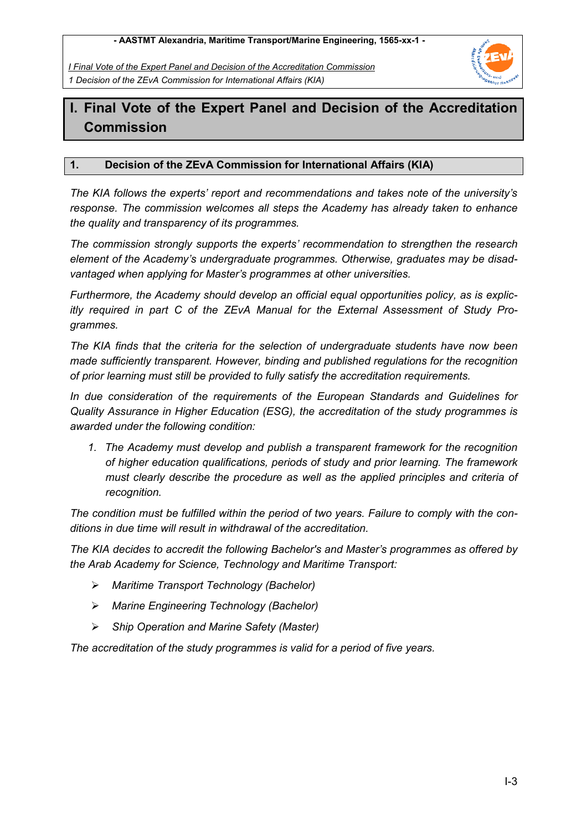*I Final Vote of the Expert Panel and Decision of the Accreditation Commission 1 Decision of the ZEvA Commission for International Affairs (KIA)* 



## **I. Final Vote of the Expert Panel and Decision of the Accreditation Commission**

## **1. Decision of the ZEvA Commission for International Affairs (KIA)**

*The KIA follows the experts' report and recommendations and takes note of the university's response. The commission welcomes all steps the Academy has already taken to enhance the quality and transparency of its programmes.* 

*The commission strongly supports the experts' recommendation to strengthen the research element of the Academy's undergraduate programmes. Otherwise, graduates may be disadvantaged when applying for Master's programmes at other universities.* 

*Furthermore, the Academy should develop an official equal opportunities policy, as is explicitly required in part C of the ZEvA Manual for the External Assessment of Study Programmes.* 

*The KIA finds that the criteria for the selection of undergraduate students have now been made sufficiently transparent. However, binding and published regulations for the recognition of prior learning must still be provided to fully satisfy the accreditation requirements.* 

*In due consideration of the requirements of the European Standards and Guidelines for Quality Assurance in Higher Education (ESG), the accreditation of the study programmes is awarded under the following condition:* 

*1. The Academy must develop and publish a transparent framework for the recognition of higher education qualifications, periods of study and prior learning. The framework must clearly describe the procedure as well as the applied principles and criteria of recognition.* 

*The condition must be fulfilled within the period of two years. Failure to comply with the conditions in due time will result in withdrawal of the accreditation.* 

*The KIA decides to accredit the following Bachelor's and Master's programmes as offered by the Arab Academy for Science, Technology and Maritime Transport:* 

- *Maritime Transport Technology (Bachelor)*
- *Marine Engineering Technology (Bachelor)*
- *Ship Operation and Marine Safety (Master)*

*The accreditation of the study programmes is valid for a period of five years.*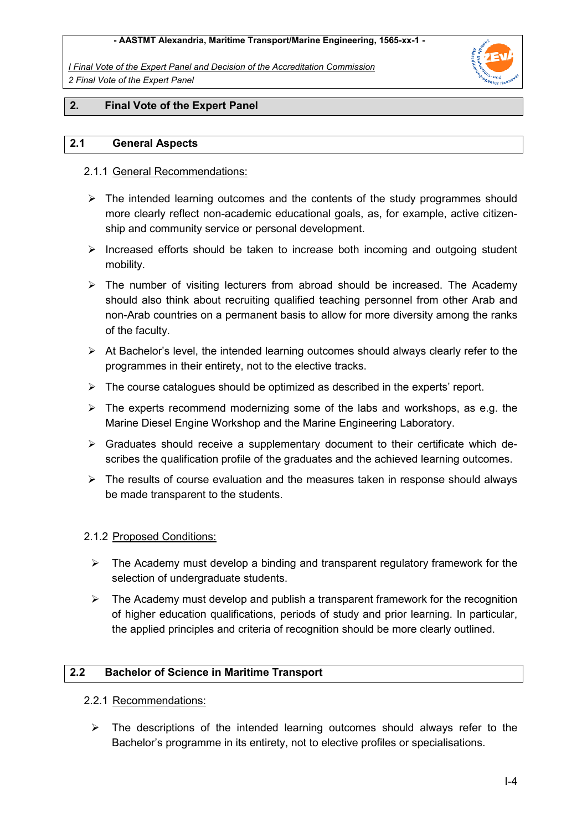*I Final Vote of the Expert Panel and Decision of the Accreditation Commission 2 Final Vote of the Expert Panel* 



#### **2. Final Vote of the Expert Panel**

#### **2.1 General Aspects**

#### 2.1.1 General Recommendations:

- $\triangleright$  The intended learning outcomes and the contents of the study programmes should more clearly reflect non-academic educational goals, as, for example, active citizenship and community service or personal development.
- $\triangleright$  Increased efforts should be taken to increase both incoming and outgoing student mobility.
- $\triangleright$  The number of visiting lecturers from abroad should be increased. The Academy should also think about recruiting qualified teaching personnel from other Arab and non-Arab countries on a permanent basis to allow for more diversity among the ranks of the faculty.
- $\triangleright$  At Bachelor's level, the intended learning outcomes should always clearly refer to the programmes in their entirety, not to the elective tracks.
- $\triangleright$  The course catalogues should be optimized as described in the experts' report.
- $\triangleright$  The experts recommend modernizing some of the labs and workshops, as e.g. the Marine Diesel Engine Workshop and the Marine Engineering Laboratory.
- $\triangleright$  Graduates should receive a supplementary document to their certificate which describes the qualification profile of the graduates and the achieved learning outcomes.
- $\triangleright$  The results of course evaluation and the measures taken in response should always be made transparent to the students.

#### 2.1.2 Proposed Conditions:

- $\triangleright$  The Academy must develop a binding and transparent regulatory framework for the selection of undergraduate students.
- $\triangleright$  The Academy must develop and publish a transparent framework for the recognition of higher education qualifications, periods of study and prior learning. In particular, the applied principles and criteria of recognition should be more clearly outlined.

#### **2.2 Bachelor of Science in Maritime Transport**

#### 2.2.1 Recommendations:

 $\triangleright$  The descriptions of the intended learning outcomes should always refer to the Bachelor's programme in its entirety, not to elective profiles or specialisations.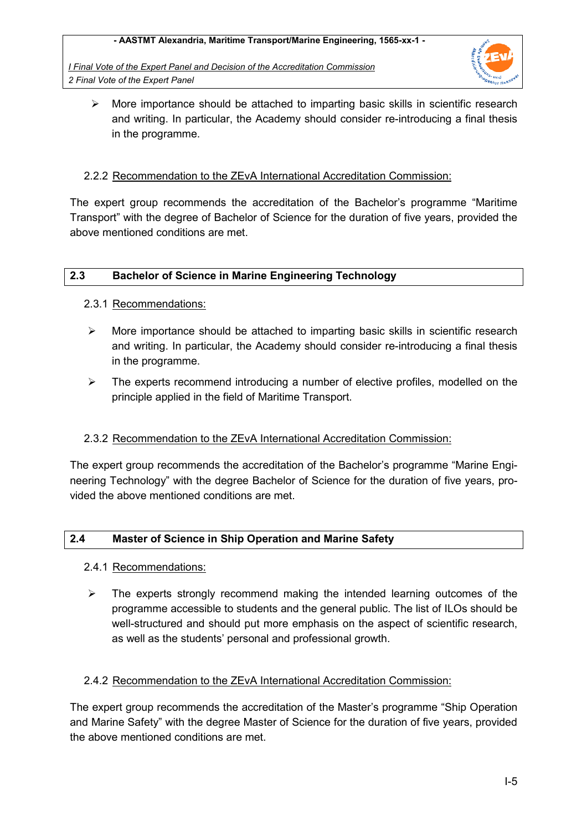*I Final Vote of the Expert Panel and Decision of the Accreditation Commission 2 Final Vote of the Expert Panel* 



 $\triangleright$  More importance should be attached to imparting basic skills in scientific research and writing. In particular, the Academy should consider re-introducing a final thesis in the programme.

#### 2.2.2 Recommendation to the ZEvA International Accreditation Commission:

The expert group recommends the accreditation of the Bachelor's programme "Maritime Transport" with the degree of Bachelor of Science for the duration of five years, provided the above mentioned conditions are met.

#### **2.3 Bachelor of Science in Marine Engineering Technology**

#### 2.3.1 Recommendations:

- $\triangleright$  More importance should be attached to imparting basic skills in scientific research and writing. In particular, the Academy should consider re-introducing a final thesis in the programme.
- $\triangleright$  The experts recommend introducing a number of elective profiles, modelled on the principle applied in the field of Maritime Transport.

## 2.3.2 Recommendation to the ZEvA International Accreditation Commission:

The expert group recommends the accreditation of the Bachelor's programme "Marine Engineering Technology" with the degree Bachelor of Science for the duration of five years, provided the above mentioned conditions are met.

#### **2.4 Master of Science in Ship Operation and Marine Safety**

#### 2.4.1 Recommendations:

 $\triangleright$  The experts strongly recommend making the intended learning outcomes of the programme accessible to students and the general public. The list of ILOs should be well-structured and should put more emphasis on the aspect of scientific research, as well as the students' personal and professional growth.

#### 2.4.2 Recommendation to the ZEvA International Accreditation Commission:

The expert group recommends the accreditation of the Master's programme "Ship Operation and Marine Safety" with the degree Master of Science for the duration of five years, provided the above mentioned conditions are met.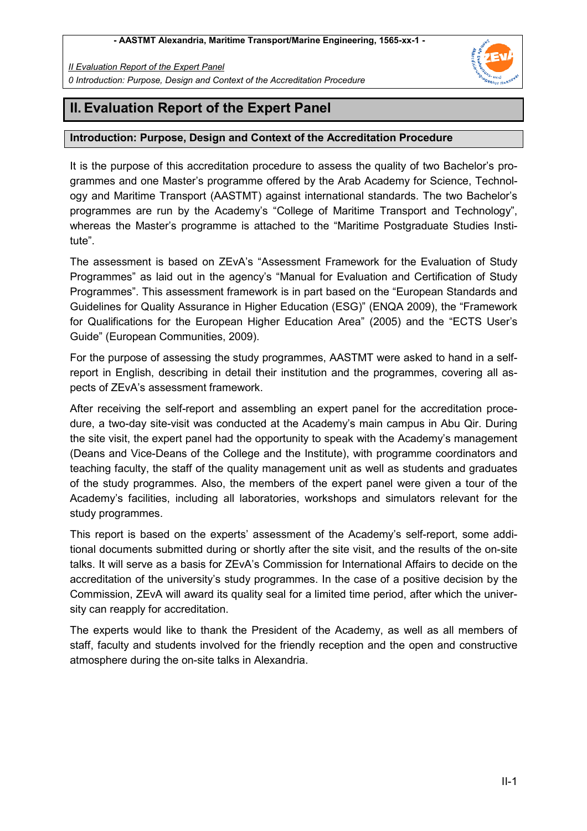*II Evaluation Report of the Expert Panel 0 Introduction: Purpose, Design and Context of the Accreditation Procedure* 



## **II. Evaluation Report of the Expert Panel**

### **Introduction: Purpose, Design and Context of the Accreditation Procedure**

It is the purpose of this accreditation procedure to assess the quality of two Bachelor's programmes and one Master's programme offered by the Arab Academy for Science, Technology and Maritime Transport (AASTMT) against international standards. The two Bachelor's programmes are run by the Academy's "College of Maritime Transport and Technology", whereas the Master's programme is attached to the "Maritime Postgraduate Studies Institute".

The assessment is based on ZEvA's "Assessment Framework for the Evaluation of Study Programmes" as laid out in the agency's "Manual for Evaluation and Certification of Study Programmes". This assessment framework is in part based on the "European Standards and Guidelines for Quality Assurance in Higher Education (ESG)" (ENQA 2009), the "Framework for Qualifications for the European Higher Education Area" (2005) and the "ECTS User's Guide" (European Communities, 2009).

For the purpose of assessing the study programmes, AASTMT were asked to hand in a selfreport in English, describing in detail their institution and the programmes, covering all aspects of ZEvA's assessment framework.

After receiving the self-report and assembling an expert panel for the accreditation procedure, a two-day site-visit was conducted at the Academy's main campus in Abu Qir. During the site visit, the expert panel had the opportunity to speak with the Academy's management (Deans and Vice-Deans of the College and the Institute), with programme coordinators and teaching faculty, the staff of the quality management unit as well as students and graduates of the study programmes. Also, the members of the expert panel were given a tour of the Academy's facilities, including all laboratories, workshops and simulators relevant for the study programmes.

This report is based on the experts' assessment of the Academy's self-report, some additional documents submitted during or shortly after the site visit, and the results of the on-site talks. It will serve as a basis for ZEvA's Commission for International Affairs to decide on the accreditation of the university's study programmes. In the case of a positive decision by the Commission, ZEvA will award its quality seal for a limited time period, after which the university can reapply for accreditation.

The experts would like to thank the President of the Academy, as well as all members of staff, faculty and students involved for the friendly reception and the open and constructive atmosphere during the on-site talks in Alexandria.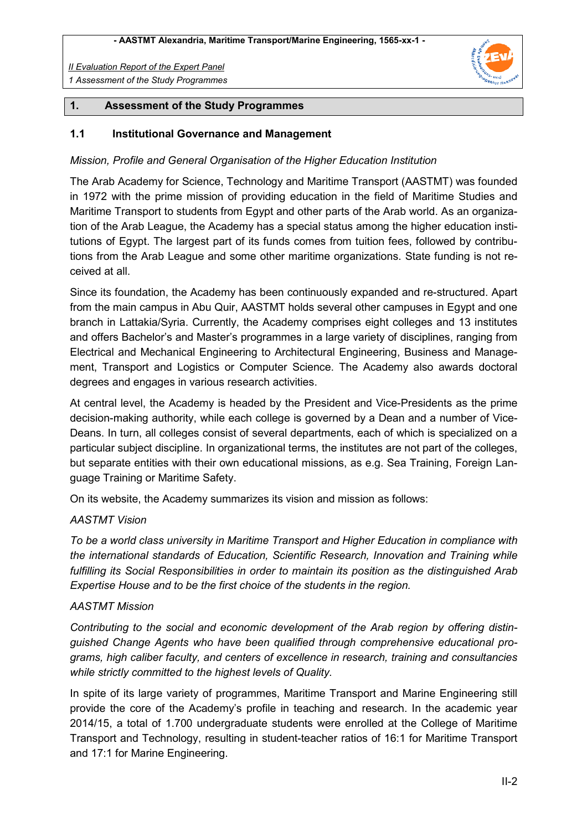

#### **1. Assessment of the Study Programmes**

#### **1.1 Institutional Governance and Management**

#### *Mission, Profile and General Organisation of the Higher Education Institution*

The Arab Academy for Science, Technology and Maritime Transport (AASTMT) was founded in 1972 with the prime mission of providing education in the field of Maritime Studies and Maritime Transport to students from Egypt and other parts of the Arab world. As an organization of the Arab League, the Academy has a special status among the higher education institutions of Egypt. The largest part of its funds comes from tuition fees, followed by contributions from the Arab League and some other maritime organizations. State funding is not received at all.

Since its foundation, the Academy has been continuously expanded and re-structured. Apart from the main campus in Abu Quir, AASTMT holds several other campuses in Egypt and one branch in Lattakia/Syria. Currently, the Academy comprises eight colleges and 13 institutes and offers Bachelor's and Master's programmes in a large variety of disciplines, ranging from Electrical and Mechanical Engineering to Architectural Engineering, Business and Management, Transport and Logistics or Computer Science. The Academy also awards doctoral degrees and engages in various research activities.

At central level, the Academy is headed by the President and Vice-Presidents as the prime decision-making authority, while each college is governed by a Dean and a number of Vice-Deans. In turn, all colleges consist of several departments, each of which is specialized on a particular subject discipline. In organizational terms, the institutes are not part of the colleges, but separate entities with their own educational missions, as e.g. Sea Training, Foreign Language Training or Maritime Safety.

On its website, the Academy summarizes its vision and mission as follows:

#### *AASTMT Vision*

*To be a world class university in Maritime Transport and Higher Education in compliance with the international standards of Education, Scientific Research, Innovation and Training while fulfilling its Social Responsibilities in order to maintain its position as the distinguished Arab Expertise House and to be the first choice of the students in the region.* 

#### *AASTMT Mission*

*Contributing to the social and economic development of the Arab region by offering distinguished Change Agents who have been qualified through comprehensive educational programs, high caliber faculty, and centers of excellence in research, training and consultancies while strictly committed to the highest levels of Quality.* 

In spite of its large variety of programmes, Maritime Transport and Marine Engineering still provide the core of the Academy's profile in teaching and research. In the academic year 2014/15, a total of 1.700 undergraduate students were enrolled at the College of Maritime Transport and Technology, resulting in student-teacher ratios of 16:1 for Maritime Transport and 17:1 for Marine Engineering.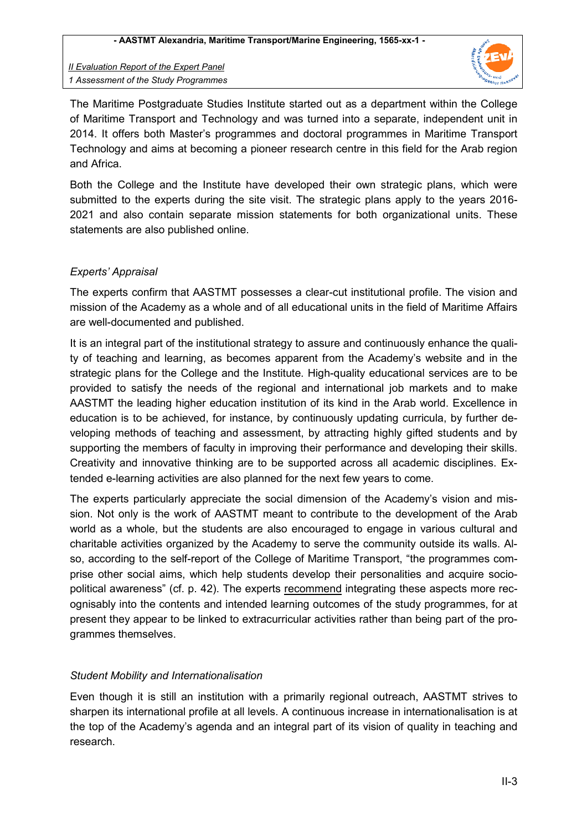

The Maritime Postgraduate Studies Institute started out as a department within the College of Maritime Transport and Technology and was turned into a separate, independent unit in 2014. It offers both Master's programmes and doctoral programmes in Maritime Transport Technology and aims at becoming a pioneer research centre in this field for the Arab region and Africa.

Both the College and the Institute have developed their own strategic plans, which were submitted to the experts during the site visit. The strategic plans apply to the years 2016- 2021 and also contain separate mission statements for both organizational units. These statements are also published online.

## *Experts' Appraisal*

The experts confirm that AASTMT possesses a clear-cut institutional profile. The vision and mission of the Academy as a whole and of all educational units in the field of Maritime Affairs are well-documented and published.

It is an integral part of the institutional strategy to assure and continuously enhance the quality of teaching and learning, as becomes apparent from the Academy's website and in the strategic plans for the College and the Institute. High-quality educational services are to be provided to satisfy the needs of the regional and international job markets and to make AASTMT the leading higher education institution of its kind in the Arab world. Excellence in education is to be achieved, for instance, by continuously updating curricula, by further developing methods of teaching and assessment, by attracting highly gifted students and by supporting the members of faculty in improving their performance and developing their skills. Creativity and innovative thinking are to be supported across all academic disciplines. Extended e-learning activities are also planned for the next few years to come.

The experts particularly appreciate the social dimension of the Academy's vision and mission. Not only is the work of AASTMT meant to contribute to the development of the Arab world as a whole, but the students are also encouraged to engage in various cultural and charitable activities organized by the Academy to serve the community outside its walls. Also, according to the self-report of the College of Maritime Transport, "the programmes comprise other social aims, which help students develop their personalities and acquire sociopolitical awareness" (cf. p. 42). The experts recommend integrating these aspects more recognisably into the contents and intended learning outcomes of the study programmes, for at present they appear to be linked to extracurricular activities rather than being part of the programmes themselves.

## *Student Mobility and Internationalisation*

Even though it is still an institution with a primarily regional outreach, AASTMT strives to sharpen its international profile at all levels. A continuous increase in internationalisation is at the top of the Academy's agenda and an integral part of its vision of quality in teaching and research.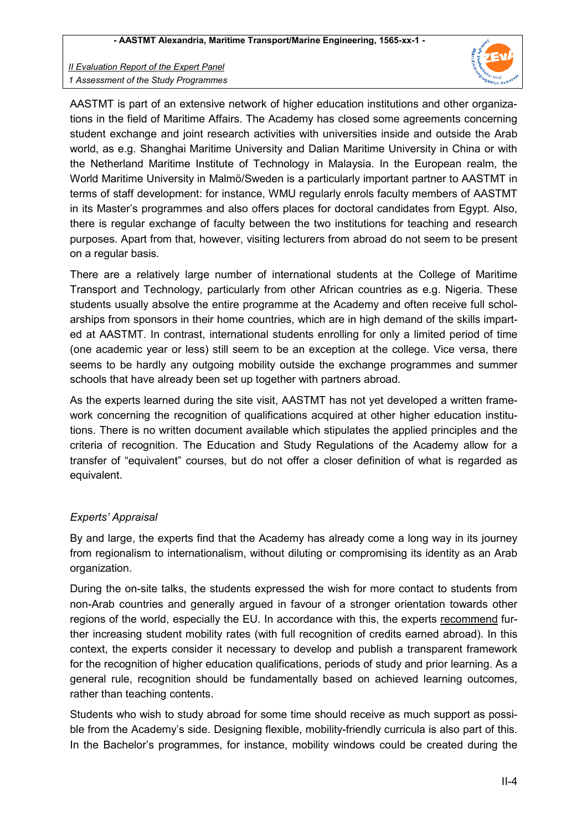

AASTMT is part of an extensive network of higher education institutions and other organizations in the field of Maritime Affairs. The Academy has closed some agreements concerning student exchange and joint research activities with universities inside and outside the Arab world, as e.g. Shanghai Maritime University and Dalian Maritime University in China or with the Netherland Maritime Institute of Technology in Malaysia. In the European realm, the World Maritime University in Malmö/Sweden is a particularly important partner to AASTMT in terms of staff development: for instance, WMU regularly enrols faculty members of AASTMT in its Master's programmes and also offers places for doctoral candidates from Egypt. Also, there is regular exchange of faculty between the two institutions for teaching and research purposes. Apart from that, however, visiting lecturers from abroad do not seem to be present on a regular basis.

There are a relatively large number of international students at the College of Maritime Transport and Technology, particularly from other African countries as e.g. Nigeria. These students usually absolve the entire programme at the Academy and often receive full scholarships from sponsors in their home countries, which are in high demand of the skills imparted at AASTMT. In contrast, international students enrolling for only a limited period of time (one academic year or less) still seem to be an exception at the college. Vice versa, there seems to be hardly any outgoing mobility outside the exchange programmes and summer schools that have already been set up together with partners abroad.

As the experts learned during the site visit, AASTMT has not yet developed a written framework concerning the recognition of qualifications acquired at other higher education institutions. There is no written document available which stipulates the applied principles and the criteria of recognition. The Education and Study Regulations of the Academy allow for a transfer of "equivalent" courses, but do not offer a closer definition of what is regarded as equivalent.

## *Experts' Appraisal*

By and large, the experts find that the Academy has already come a long way in its journey from regionalism to internationalism, without diluting or compromising its identity as an Arab organization.

During the on-site talks, the students expressed the wish for more contact to students from non-Arab countries and generally argued in favour of a stronger orientation towards other regions of the world, especially the EU. In accordance with this, the experts recommend further increasing student mobility rates (with full recognition of credits earned abroad). In this context, the experts consider it necessary to develop and publish a transparent framework for the recognition of higher education qualifications, periods of study and prior learning. As a general rule, recognition should be fundamentally based on achieved learning outcomes, rather than teaching contents.

Students who wish to study abroad for some time should receive as much support as possible from the Academy's side. Designing flexible, mobility-friendly curricula is also part of this. In the Bachelor's programmes, for instance, mobility windows could be created during the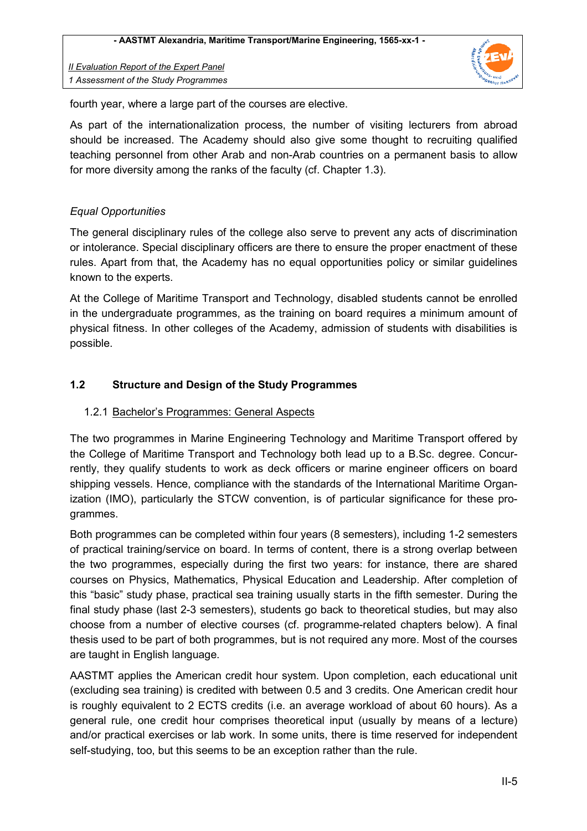

fourth year, where a large part of the courses are elective.

As part of the internationalization process, the number of visiting lecturers from abroad should be increased. The Academy should also give some thought to recruiting qualified teaching personnel from other Arab and non-Arab countries on a permanent basis to allow for more diversity among the ranks of the faculty (cf. Chapter 1.3).

## *Equal Opportunities*

The general disciplinary rules of the college also serve to prevent any acts of discrimination or intolerance. Special disciplinary officers are there to ensure the proper enactment of these rules. Apart from that, the Academy has no equal opportunities policy or similar guidelines known to the experts.

At the College of Maritime Transport and Technology, disabled students cannot be enrolled in the undergraduate programmes, as the training on board requires a minimum amount of physical fitness. In other colleges of the Academy, admission of students with disabilities is possible.

## **1.2 Structure and Design of the Study Programmes**

## 1.2.1 Bachelor's Programmes: General Aspects

The two programmes in Marine Engineering Technology and Maritime Transport offered by the College of Maritime Transport and Technology both lead up to a B.Sc. degree. Concurrently, they qualify students to work as deck officers or marine engineer officers on board shipping vessels. Hence, compliance with the standards of the International Maritime Organization (IMO), particularly the STCW convention, is of particular significance for these programmes.

Both programmes can be completed within four years (8 semesters), including 1-2 semesters of practical training/service on board. In terms of content, there is a strong overlap between the two programmes, especially during the first two years: for instance, there are shared courses on Physics, Mathematics, Physical Education and Leadership. After completion of this "basic" study phase, practical sea training usually starts in the fifth semester. During the final study phase (last 2-3 semesters), students go back to theoretical studies, but may also choose from a number of elective courses (cf. programme-related chapters below). A final thesis used to be part of both programmes, but is not required any more. Most of the courses are taught in English language.

AASTMT applies the American credit hour system. Upon completion, each educational unit (excluding sea training) is credited with between 0.5 and 3 credits. One American credit hour is roughly equivalent to 2 ECTS credits (i.e. an average workload of about 60 hours). As a general rule, one credit hour comprises theoretical input (usually by means of a lecture) and/or practical exercises or lab work. In some units, there is time reserved for independent self-studying, too, but this seems to be an exception rather than the rule.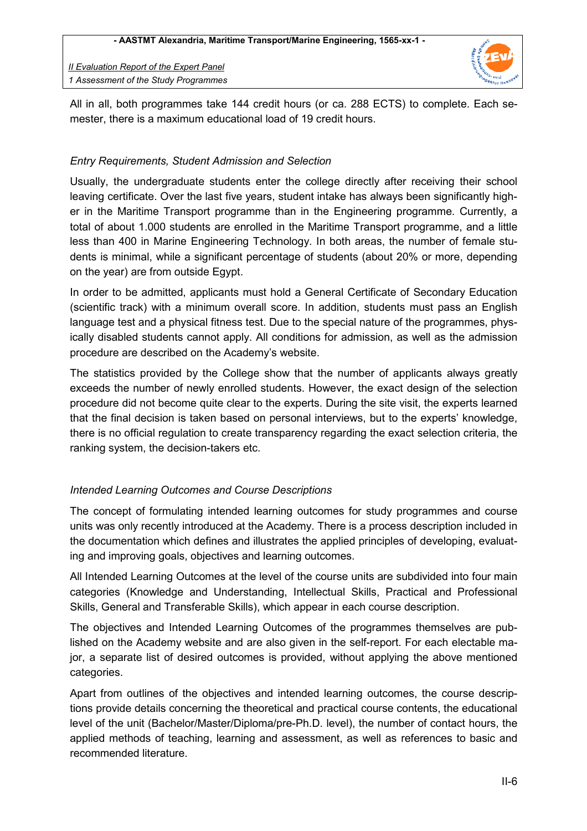

All in all, both programmes take 144 credit hours (or ca. 288 ECTS) to complete. Each semester, there is a maximum educational load of 19 credit hours.

## *Entry Requirements, Student Admission and Selection*

Usually, the undergraduate students enter the college directly after receiving their school leaving certificate. Over the last five years, student intake has always been significantly higher in the Maritime Transport programme than in the Engineering programme. Currently, a total of about 1.000 students are enrolled in the Maritime Transport programme, and a little less than 400 in Marine Engineering Technology. In both areas, the number of female students is minimal, while a significant percentage of students (about 20% or more, depending on the year) are from outside Egypt.

In order to be admitted, applicants must hold a General Certificate of Secondary Education (scientific track) with a minimum overall score. In addition, students must pass an English language test and a physical fitness test. Due to the special nature of the programmes, physically disabled students cannot apply. All conditions for admission, as well as the admission procedure are described on the Academy's website.

The statistics provided by the College show that the number of applicants always greatly exceeds the number of newly enrolled students. However, the exact design of the selection procedure did not become quite clear to the experts. During the site visit, the experts learned that the final decision is taken based on personal interviews, but to the experts' knowledge, there is no official regulation to create transparency regarding the exact selection criteria, the ranking system, the decision-takers etc.

## *Intended Learning Outcomes and Course Descriptions*

The concept of formulating intended learning outcomes for study programmes and course units was only recently introduced at the Academy. There is a process description included in the documentation which defines and illustrates the applied principles of developing, evaluating and improving goals, objectives and learning outcomes.

All Intended Learning Outcomes at the level of the course units are subdivided into four main categories (Knowledge and Understanding, Intellectual Skills, Practical and Professional Skills, General and Transferable Skills), which appear in each course description.

The objectives and Intended Learning Outcomes of the programmes themselves are published on the Academy website and are also given in the self-report. For each electable major, a separate list of desired outcomes is provided, without applying the above mentioned categories.

Apart from outlines of the objectives and intended learning outcomes, the course descriptions provide details concerning the theoretical and practical course contents, the educational level of the unit (Bachelor/Master/Diploma/pre-Ph.D. level), the number of contact hours, the applied methods of teaching, learning and assessment, as well as references to basic and recommended literature.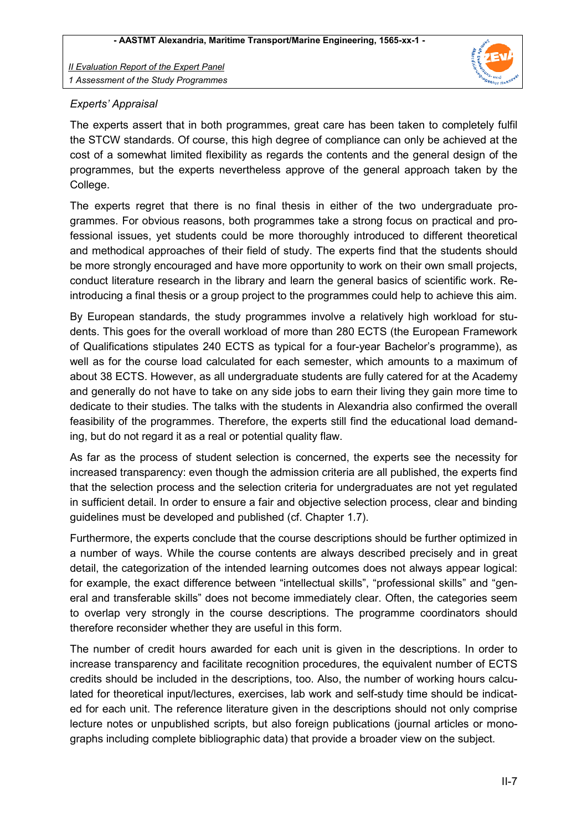

## *Experts' Appraisal*

The experts assert that in both programmes, great care has been taken to completely fulfil the STCW standards. Of course, this high degree of compliance can only be achieved at the cost of a somewhat limited flexibility as regards the contents and the general design of the programmes, but the experts nevertheless approve of the general approach taken by the College.

The experts regret that there is no final thesis in either of the two undergraduate programmes. For obvious reasons, both programmes take a strong focus on practical and professional issues, yet students could be more thoroughly introduced to different theoretical and methodical approaches of their field of study. The experts find that the students should be more strongly encouraged and have more opportunity to work on their own small projects, conduct literature research in the library and learn the general basics of scientific work. Reintroducing a final thesis or a group project to the programmes could help to achieve this aim.

By European standards, the study programmes involve a relatively high workload for students. This goes for the overall workload of more than 280 ECTS (the European Framework of Qualifications stipulates 240 ECTS as typical for a four-year Bachelor's programme), as well as for the course load calculated for each semester, which amounts to a maximum of about 38 ECTS. However, as all undergraduate students are fully catered for at the Academy and generally do not have to take on any side jobs to earn their living they gain more time to dedicate to their studies. The talks with the students in Alexandria also confirmed the overall feasibility of the programmes. Therefore, the experts still find the educational load demanding, but do not regard it as a real or potential quality flaw.

As far as the process of student selection is concerned, the experts see the necessity for increased transparency: even though the admission criteria are all published, the experts find that the selection process and the selection criteria for undergraduates are not yet regulated in sufficient detail. In order to ensure a fair and objective selection process, clear and binding guidelines must be developed and published (cf. Chapter 1.7).

Furthermore, the experts conclude that the course descriptions should be further optimized in a number of ways. While the course contents are always described precisely and in great detail, the categorization of the intended learning outcomes does not always appear logical: for example, the exact difference between "intellectual skills", "professional skills" and "general and transferable skills" does not become immediately clear. Often, the categories seem to overlap very strongly in the course descriptions. The programme coordinators should therefore reconsider whether they are useful in this form.

The number of credit hours awarded for each unit is given in the descriptions. In order to increase transparency and facilitate recognition procedures, the equivalent number of ECTS credits should be included in the descriptions, too. Also, the number of working hours calculated for theoretical input/lectures, exercises, lab work and self-study time should be indicated for each unit. The reference literature given in the descriptions should not only comprise lecture notes or unpublished scripts, but also foreign publications (journal articles or monographs including complete bibliographic data) that provide a broader view on the subject.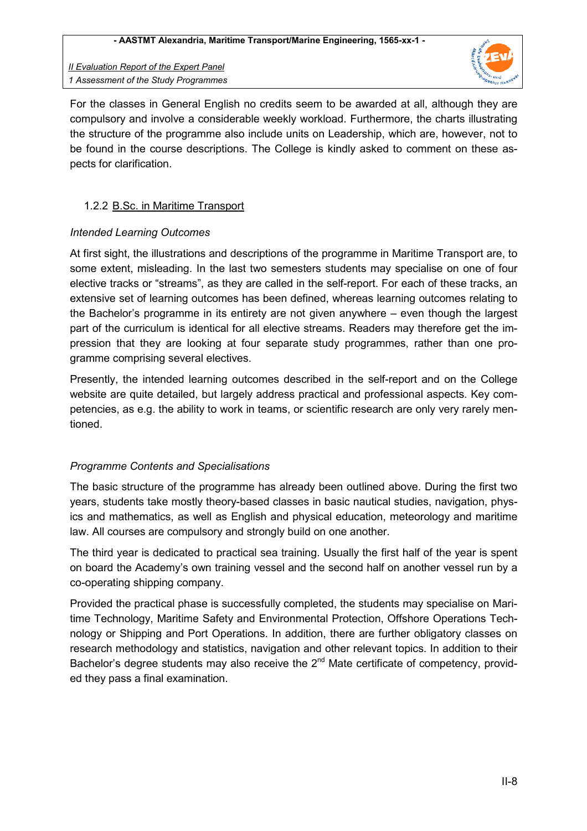

For the classes in General English no credits seem to be awarded at all, although they are compulsory and involve a considerable weekly workload. Furthermore, the charts illustrating the structure of the programme also include units on Leadership, which are, however, not to be found in the course descriptions. The College is kindly asked to comment on these aspects for clarification.

### 1.2.2 B.Sc. in Maritime Transport

#### *Intended Learning Outcomes*

At first sight, the illustrations and descriptions of the programme in Maritime Transport are, to some extent, misleading. In the last two semesters students may specialise on one of four elective tracks or "streams", as they are called in the self-report. For each of these tracks, an extensive set of learning outcomes has been defined, whereas learning outcomes relating to the Bachelor's programme in its entirety are not given anywhere – even though the largest part of the curriculum is identical for all elective streams. Readers may therefore get the impression that they are looking at four separate study programmes, rather than one programme comprising several electives.

Presently, the intended learning outcomes described in the self-report and on the College website are quite detailed, but largely address practical and professional aspects. Key competencies, as e.g. the ability to work in teams, or scientific research are only very rarely mentioned.

## *Programme Contents and Specialisations*

The basic structure of the programme has already been outlined above. During the first two years, students take mostly theory-based classes in basic nautical studies, navigation, physics and mathematics, as well as English and physical education, meteorology and maritime law. All courses are compulsory and strongly build on one another.

The third year is dedicated to practical sea training. Usually the first half of the year is spent on board the Academy's own training vessel and the second half on another vessel run by a co-operating shipping company.

Provided the practical phase is successfully completed, the students may specialise on Maritime Technology, Maritime Safety and Environmental Protection, Offshore Operations Technology or Shipping and Port Operations. In addition, there are further obligatory classes on research methodology and statistics, navigation and other relevant topics. In addition to their Bachelor's degree students may also receive the  $2<sup>nd</sup>$  Mate certificate of competency, provided they pass a final examination.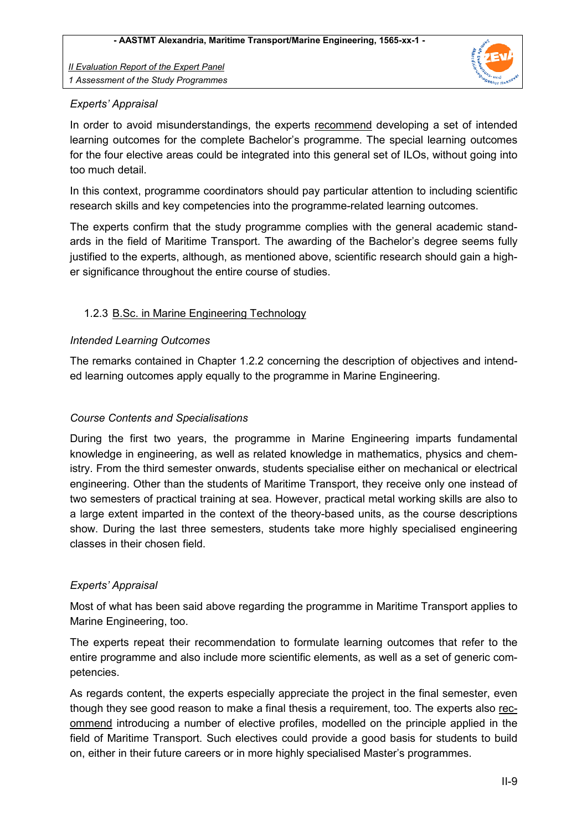

### *Experts' Appraisal*

In order to avoid misunderstandings, the experts recommend developing a set of intended learning outcomes for the complete Bachelor's programme. The special learning outcomes for the four elective areas could be integrated into this general set of ILOs, without going into too much detail.

In this context, programme coordinators should pay particular attention to including scientific research skills and key competencies into the programme-related learning outcomes.

The experts confirm that the study programme complies with the general academic standards in the field of Maritime Transport. The awarding of the Bachelor's degree seems fully justified to the experts, although, as mentioned above, scientific research should gain a higher significance throughout the entire course of studies.

#### 1.2.3 B.Sc. in Marine Engineering Technology

#### *Intended Learning Outcomes*

The remarks contained in Chapter 1.2.2 concerning the description of objectives and intended learning outcomes apply equally to the programme in Marine Engineering.

### *Course Contents and Specialisations*

During the first two years, the programme in Marine Engineering imparts fundamental knowledge in engineering, as well as related knowledge in mathematics, physics and chemistry. From the third semester onwards, students specialise either on mechanical or electrical engineering. Other than the students of Maritime Transport, they receive only one instead of two semesters of practical training at sea. However, practical metal working skills are also to a large extent imparted in the context of the theory-based units, as the course descriptions show. During the last three semesters, students take more highly specialised engineering classes in their chosen field.

#### *Experts' Appraisal*

Most of what has been said above regarding the programme in Maritime Transport applies to Marine Engineering, too.

The experts repeat their recommendation to formulate learning outcomes that refer to the entire programme and also include more scientific elements, as well as a set of generic competencies.

As regards content, the experts especially appreciate the project in the final semester, even though they see good reason to make a final thesis a requirement, too. The experts also recommend introducing a number of elective profiles, modelled on the principle applied in the field of Maritime Transport. Such electives could provide a good basis for students to build on, either in their future careers or in more highly specialised Master's programmes.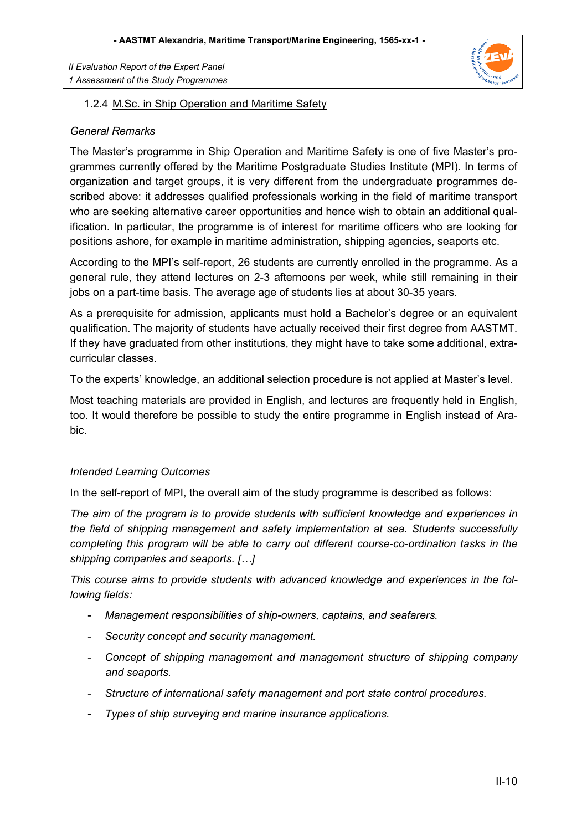

#### 1.2.4 M.Sc. in Ship Operation and Maritime Safety

#### *General Remarks*

The Master's programme in Ship Operation and Maritime Safety is one of five Master's programmes currently offered by the Maritime Postgraduate Studies Institute (MPI). In terms of organization and target groups, it is very different from the undergraduate programmes described above: it addresses qualified professionals working in the field of maritime transport who are seeking alternative career opportunities and hence wish to obtain an additional qualification. In particular, the programme is of interest for maritime officers who are looking for positions ashore, for example in maritime administration, shipping agencies, seaports etc.

According to the MPI's self-report, 26 students are currently enrolled in the programme. As a general rule, they attend lectures on 2-3 afternoons per week, while still remaining in their jobs on a part-time basis. The average age of students lies at about 30-35 years.

As a prerequisite for admission, applicants must hold a Bachelor's degree or an equivalent qualification. The majority of students have actually received their first degree from AASTMT. If they have graduated from other institutions, they might have to take some additional, extracurricular classes.

To the experts' knowledge, an additional selection procedure is not applied at Master's level.

Most teaching materials are provided in English, and lectures are frequently held in English, too. It would therefore be possible to study the entire programme in English instead of Arabic.

#### *Intended Learning Outcomes*

In the self-report of MPI, the overall aim of the study programme is described as follows:

*The aim of the program is to provide students with sufficient knowledge and experiences in the field of shipping management and safety implementation at sea. Students successfully completing this program will be able to carry out different course-co-ordination tasks in the shipping companies and seaports. […]* 

*This course aims to provide students with advanced knowledge and experiences in the following fields:* 

- *Management responsibilities of ship-owners, captains, and seafarers.*
- *Security concept and security management.*
- *Concept of shipping management and management structure of shipping company and seaports.*
- *Structure of international safety management and port state control procedures.*
- *Types of ship surveying and marine insurance applications.*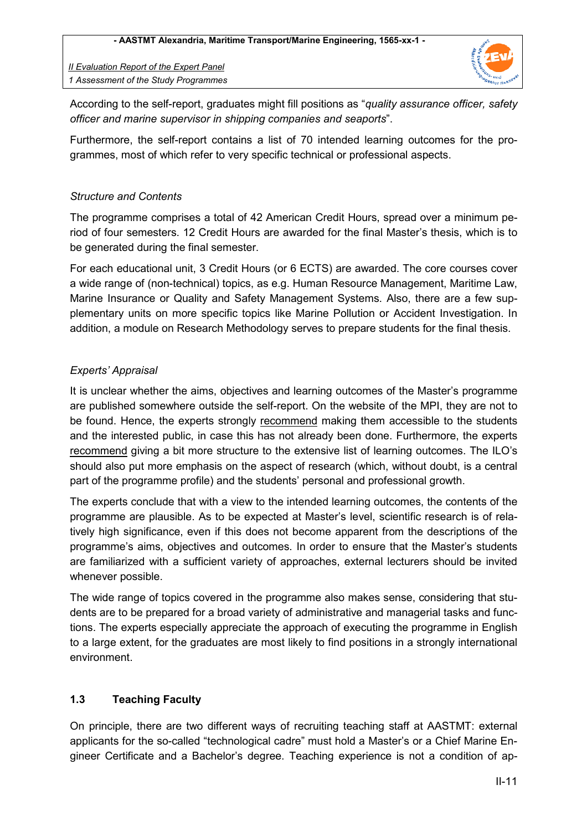

According to the self-report, graduates might fill positions as "*quality assurance officer, safety officer and marine supervisor in shipping companies and seaports*".

Furthermore, the self-report contains a list of 70 intended learning outcomes for the programmes, most of which refer to very specific technical or professional aspects.

## *Structure and Contents*

The programme comprises a total of 42 American Credit Hours, spread over a minimum period of four semesters. 12 Credit Hours are awarded for the final Master's thesis, which is to be generated during the final semester.

For each educational unit, 3 Credit Hours (or 6 ECTS) are awarded. The core courses cover a wide range of (non-technical) topics, as e.g. Human Resource Management, Maritime Law, Marine Insurance or Quality and Safety Management Systems. Also, there are a few supplementary units on more specific topics like Marine Pollution or Accident Investigation. In addition, a module on Research Methodology serves to prepare students for the final thesis.

## *Experts' Appraisal*

It is unclear whether the aims, objectives and learning outcomes of the Master's programme are published somewhere outside the self-report. On the website of the MPI, they are not to be found. Hence, the experts strongly recommend making them accessible to the students and the interested public, in case this has not already been done. Furthermore, the experts recommend giving a bit more structure to the extensive list of learning outcomes. The ILO's should also put more emphasis on the aspect of research (which, without doubt, is a central part of the programme profile) and the students' personal and professional growth.

The experts conclude that with a view to the intended learning outcomes, the contents of the programme are plausible. As to be expected at Master's level, scientific research is of relatively high significance, even if this does not become apparent from the descriptions of the programme's aims, objectives and outcomes. In order to ensure that the Master's students are familiarized with a sufficient variety of approaches, external lecturers should be invited whenever possible.

The wide range of topics covered in the programme also makes sense, considering that students are to be prepared for a broad variety of administrative and managerial tasks and functions. The experts especially appreciate the approach of executing the programme in English to a large extent, for the graduates are most likely to find positions in a strongly international environment.

## **1.3 Teaching Faculty**

On principle, there are two different ways of recruiting teaching staff at AASTMT: external applicants for the so-called "technological cadre" must hold a Master's or a Chief Marine Engineer Certificate and a Bachelor's degree. Teaching experience is not a condition of ap-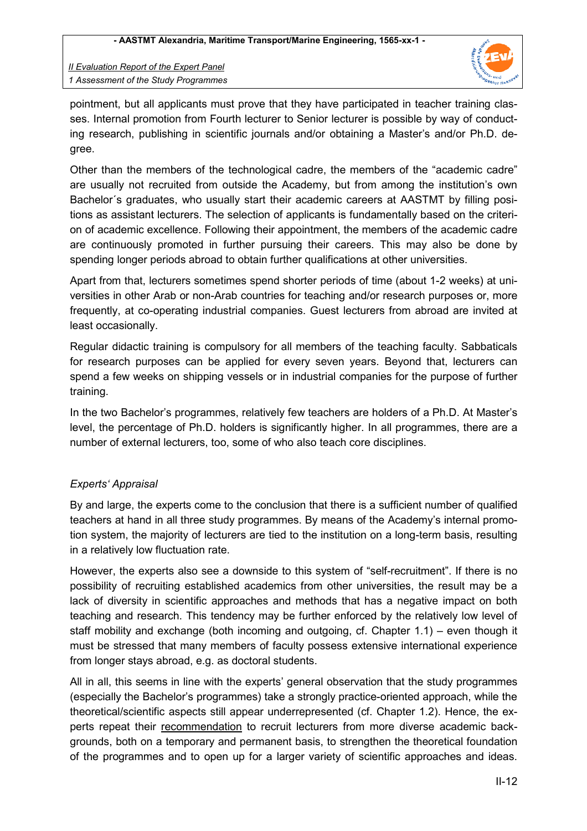

pointment, but all applicants must prove that they have participated in teacher training classes. Internal promotion from Fourth lecturer to Senior lecturer is possible by way of conducting research, publishing in scientific journals and/or obtaining a Master's and/or Ph.D. degree.

Other than the members of the technological cadre, the members of the "academic cadre" are usually not recruited from outside the Academy, but from among the institution's own Bachelor´s graduates, who usually start their academic careers at AASTMT by filling positions as assistant lecturers. The selection of applicants is fundamentally based on the criterion of academic excellence. Following their appointment, the members of the academic cadre are continuously promoted in further pursuing their careers. This may also be done by spending longer periods abroad to obtain further qualifications at other universities.

Apart from that, lecturers sometimes spend shorter periods of time (about 1-2 weeks) at universities in other Arab or non-Arab countries for teaching and/or research purposes or, more frequently, at co-operating industrial companies. Guest lecturers from abroad are invited at least occasionally.

Regular didactic training is compulsory for all members of the teaching faculty. Sabbaticals for research purposes can be applied for every seven years. Beyond that, lecturers can spend a few weeks on shipping vessels or in industrial companies for the purpose of further training.

In the two Bachelor's programmes, relatively few teachers are holders of a Ph.D. At Master's level, the percentage of Ph.D. holders is significantly higher. In all programmes, there are a number of external lecturers, too, some of who also teach core disciplines.

## *Experts' Appraisal*

By and large, the experts come to the conclusion that there is a sufficient number of qualified teachers at hand in all three study programmes. By means of the Academy's internal promotion system, the majority of lecturers are tied to the institution on a long-term basis, resulting in a relatively low fluctuation rate.

However, the experts also see a downside to this system of "self-recruitment". If there is no possibility of recruiting established academics from other universities, the result may be a lack of diversity in scientific approaches and methods that has a negative impact on both teaching and research. This tendency may be further enforced by the relatively low level of staff mobility and exchange (both incoming and outgoing, cf. Chapter 1.1) – even though it must be stressed that many members of faculty possess extensive international experience from longer stays abroad, e.g. as doctoral students.

All in all, this seems in line with the experts' general observation that the study programmes (especially the Bachelor's programmes) take a strongly practice-oriented approach, while the theoretical/scientific aspects still appear underrepresented (cf. Chapter 1.2). Hence, the experts repeat their recommendation to recruit lecturers from more diverse academic backgrounds, both on a temporary and permanent basis, to strengthen the theoretical foundation of the programmes and to open up for a larger variety of scientific approaches and ideas.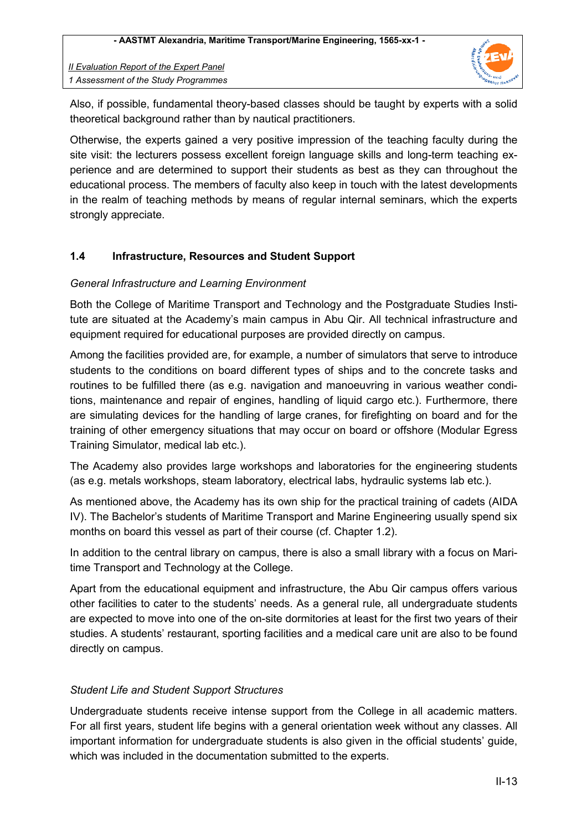

Also, if possible, fundamental theory-based classes should be taught by experts with a solid theoretical background rather than by nautical practitioners.

Otherwise, the experts gained a very positive impression of the teaching faculty during the site visit: the lecturers possess excellent foreign language skills and long-term teaching experience and are determined to support their students as best as they can throughout the educational process. The members of faculty also keep in touch with the latest developments in the realm of teaching methods by means of regular internal seminars, which the experts strongly appreciate.

## **1.4 Infrastructure, Resources and Student Support**

#### *General Infrastructure and Learning Environment*

Both the College of Maritime Transport and Technology and the Postgraduate Studies Institute are situated at the Academy's main campus in Abu Qir. All technical infrastructure and equipment required for educational purposes are provided directly on campus.

Among the facilities provided are, for example, a number of simulators that serve to introduce students to the conditions on board different types of ships and to the concrete tasks and routines to be fulfilled there (as e.g. navigation and manoeuvring in various weather conditions, maintenance and repair of engines, handling of liquid cargo etc.). Furthermore, there are simulating devices for the handling of large cranes, for firefighting on board and for the training of other emergency situations that may occur on board or offshore (Modular Egress Training Simulator, medical lab etc.).

The Academy also provides large workshops and laboratories for the engineering students (as e.g. metals workshops, steam laboratory, electrical labs, hydraulic systems lab etc.).

As mentioned above, the Academy has its own ship for the practical training of cadets (AIDA IV). The Bachelor's students of Maritime Transport and Marine Engineering usually spend six months on board this vessel as part of their course (cf. Chapter 1.2).

In addition to the central library on campus, there is also a small library with a focus on Maritime Transport and Technology at the College.

Apart from the educational equipment and infrastructure, the Abu Qir campus offers various other facilities to cater to the students' needs. As a general rule, all undergraduate students are expected to move into one of the on-site dormitories at least for the first two years of their studies. A students' restaurant, sporting facilities and a medical care unit are also to be found directly on campus.

#### *Student Life and Student Support Structures*

Undergraduate students receive intense support from the College in all academic matters. For all first years, student life begins with a general orientation week without any classes. All important information for undergraduate students is also given in the official students' guide, which was included in the documentation submitted to the experts.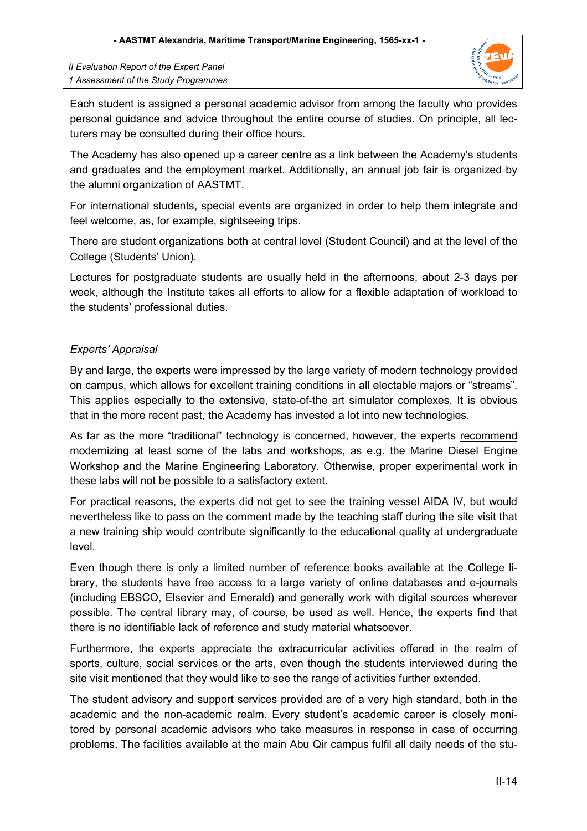

Each student is assigned a personal academic advisor from among the faculty who provides personal guidance and advice throughout the entire course of studies. On principle, all lecturers may be consulted during their office hours.

The Academy has also opened up a career centre as a link between the Academy's students and graduates and the employment market. Additionally, an annual job fair is organized by the alumni organization of AASTMT.

For international students, special events are organized in order to help them integrate and feel welcome, as, for example, sightseeing trips.

There are student organizations both at central level (Student Council) and at the level of the College (Students' Union).

Lectures for postgraduate students are usually held in the afternoons, about 2-3 days per week, although the Institute takes all efforts to allow for a flexible adaptation of workload to the students' professional duties.

## *Experts' Appraisal*

By and large, the experts were impressed by the large variety of modern technology provided on campus, which allows for excellent training conditions in all electable majors or "streams". This applies especially to the extensive, state-of-the art simulator complexes. It is obvious that in the more recent past, the Academy has invested a lot into new technologies.

As far as the more "traditional" technology is concerned, however, the experts recommend modernizing at least some of the labs and workshops, as e.g. the Marine Diesel Engine Workshop and the Marine Engineering Laboratory. Otherwise, proper experimental work in these labs will not be possible to a satisfactory extent.

For practical reasons, the experts did not get to see the training vessel AIDA IV, but would nevertheless like to pass on the comment made by the teaching staff during the site visit that a new training ship would contribute significantly to the educational quality at undergraduate level.

Even though there is only a limited number of reference books available at the College library, the students have free access to a large variety of online databases and e-journals (including EBSCO, Elsevier and Emerald) and generally work with digital sources wherever possible. The central library may, of course, be used as well. Hence, the experts find that there is no identifiable lack of reference and study material whatsoever.

Furthermore, the experts appreciate the extracurricular activities offered in the realm of sports, culture, social services or the arts, even though the students interviewed during the site visit mentioned that they would like to see the range of activities further extended.

The student advisory and support services provided are of a very high standard, both in the academic and the non-academic realm. Every student's academic career is closely monitored by personal academic advisors who take measures in response in case of occurring problems. The facilities available at the main Abu Qir campus fulfil all daily needs of the stu-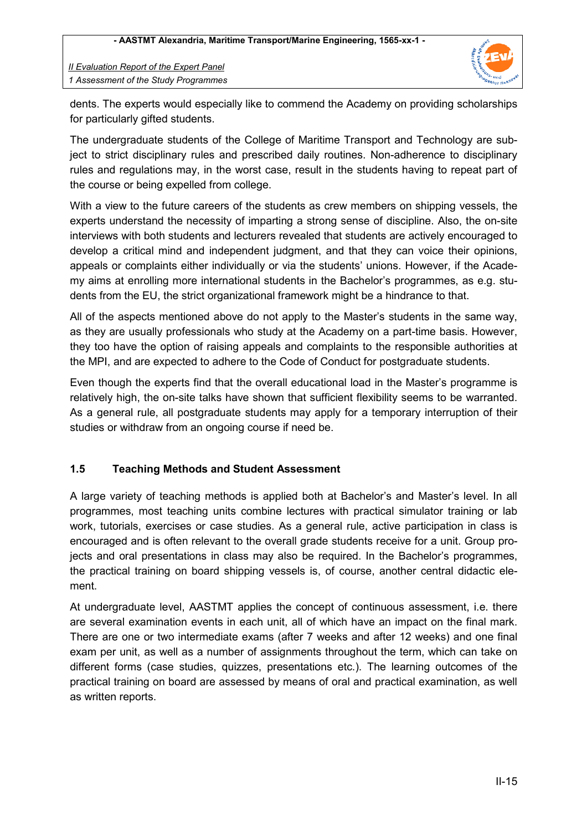

dents. The experts would especially like to commend the Academy on providing scholarships for particularly gifted students.

The undergraduate students of the College of Maritime Transport and Technology are subject to strict disciplinary rules and prescribed daily routines. Non-adherence to disciplinary rules and regulations may, in the worst case, result in the students having to repeat part of the course or being expelled from college.

With a view to the future careers of the students as crew members on shipping vessels, the experts understand the necessity of imparting a strong sense of discipline. Also, the on-site interviews with both students and lecturers revealed that students are actively encouraged to develop a critical mind and independent judgment, and that they can voice their opinions, appeals or complaints either individually or via the students' unions. However, if the Academy aims at enrolling more international students in the Bachelor's programmes, as e.g. students from the EU, the strict organizational framework might be a hindrance to that.

All of the aspects mentioned above do not apply to the Master's students in the same way, as they are usually professionals who study at the Academy on a part-time basis. However, they too have the option of raising appeals and complaints to the responsible authorities at the MPI, and are expected to adhere to the Code of Conduct for postgraduate students.

Even though the experts find that the overall educational load in the Master's programme is relatively high, the on-site talks have shown that sufficient flexibility seems to be warranted. As a general rule, all postgraduate students may apply for a temporary interruption of their studies or withdraw from an ongoing course if need be.

## **1.5 Teaching Methods and Student Assessment**

A large variety of teaching methods is applied both at Bachelor's and Master's level. In all programmes, most teaching units combine lectures with practical simulator training or lab work, tutorials, exercises or case studies. As a general rule, active participation in class is encouraged and is often relevant to the overall grade students receive for a unit. Group projects and oral presentations in class may also be required. In the Bachelor's programmes, the practical training on board shipping vessels is, of course, another central didactic element.

At undergraduate level, AASTMT applies the concept of continuous assessment, i.e. there are several examination events in each unit, all of which have an impact on the final mark. There are one or two intermediate exams (after 7 weeks and after 12 weeks) and one final exam per unit, as well as a number of assignments throughout the term, which can take on different forms (case studies, quizzes, presentations etc.). The learning outcomes of the practical training on board are assessed by means of oral and practical examination, as well as written reports.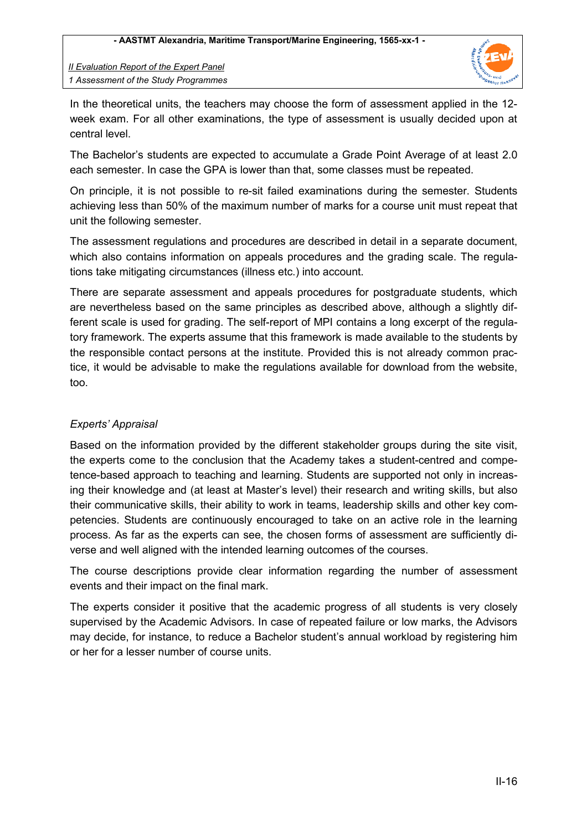

In the theoretical units, the teachers may choose the form of assessment applied in the 12 week exam. For all other examinations, the type of assessment is usually decided upon at central level.

The Bachelor's students are expected to accumulate a Grade Point Average of at least 2.0 each semester. In case the GPA is lower than that, some classes must be repeated.

On principle, it is not possible to re-sit failed examinations during the semester. Students achieving less than 50% of the maximum number of marks for a course unit must repeat that unit the following semester.

The assessment regulations and procedures are described in detail in a separate document, which also contains information on appeals procedures and the grading scale. The regulations take mitigating circumstances (illness etc.) into account.

There are separate assessment and appeals procedures for postgraduate students, which are nevertheless based on the same principles as described above, although a slightly different scale is used for grading. The self-report of MPI contains a long excerpt of the regulatory framework. The experts assume that this framework is made available to the students by the responsible contact persons at the institute. Provided this is not already common practice, it would be advisable to make the regulations available for download from the website, too.

## *Experts' Appraisal*

Based on the information provided by the different stakeholder groups during the site visit, the experts come to the conclusion that the Academy takes a student-centred and competence-based approach to teaching and learning. Students are supported not only in increasing their knowledge and (at least at Master's level) their research and writing skills, but also their communicative skills, their ability to work in teams, leadership skills and other key competencies. Students are continuously encouraged to take on an active role in the learning process. As far as the experts can see, the chosen forms of assessment are sufficiently diverse and well aligned with the intended learning outcomes of the courses.

The course descriptions provide clear information regarding the number of assessment events and their impact on the final mark.

The experts consider it positive that the academic progress of all students is very closely supervised by the Academic Advisors. In case of repeated failure or low marks, the Advisors may decide, for instance, to reduce a Bachelor student's annual workload by registering him or her for a lesser number of course units.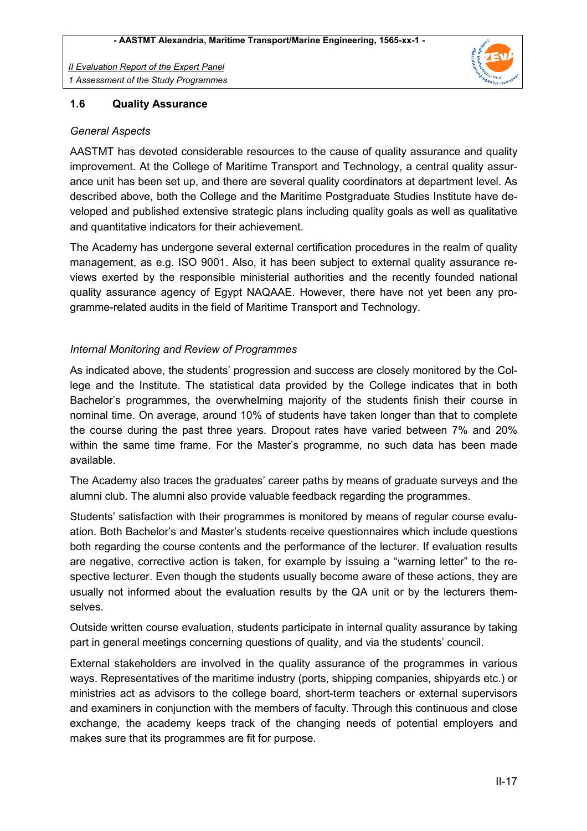

#### **1.6 Quality Assurance**

#### *General Aspects*

AASTMT has devoted considerable resources to the cause of quality assurance and quality improvement. At the College of Maritime Transport and Technology, a central quality assurance unit has been set up, and there are several quality coordinators at department level. As described above, both the College and the Maritime Postgraduate Studies Institute have developed and published extensive strategic plans including quality goals as well as qualitative and quantitative indicators for their achievement.

The Academy has undergone several external certification procedures in the realm of quality management, as e.g. ISO 9001. Also, it has been subject to external quality assurance reviews exerted by the responsible ministerial authorities and the recently founded national quality assurance agency of Egypt NAQAAE. However, there have not yet been any programme-related audits in the field of Maritime Transport and Technology.

## *Internal Monitoring and Review of Programmes*

As indicated above, the students' progression and success are closely monitored by the College and the Institute. The statistical data provided by the College indicates that in both Bachelor's programmes, the overwhelming majority of the students finish their course in nominal time. On average, around 10% of students have taken longer than that to complete the course during the past three years. Dropout rates have varied between 7% and 20% within the same time frame. For the Master's programme, no such data has been made available.

The Academy also traces the graduates' career paths by means of graduate surveys and the alumni club. The alumni also provide valuable feedback regarding the programmes.

Students' satisfaction with their programmes is monitored by means of regular course evaluation. Both Bachelor's and Master's students receive questionnaires which include questions both regarding the course contents and the performance of the lecturer. If evaluation results are negative, corrective action is taken, for example by issuing a "warning letter" to the respective lecturer. Even though the students usually become aware of these actions, they are usually not informed about the evaluation results by the QA unit or by the lecturers themselves.

Outside written course evaluation, students participate in internal quality assurance by taking part in general meetings concerning questions of quality, and via the students' council.

External stakeholders are involved in the quality assurance of the programmes in various ways. Representatives of the maritime industry (ports, shipping companies, shipyards etc.) or ministries act as advisors to the college board, short-term teachers or external supervisors and examiners in conjunction with the members of faculty. Through this continuous and close exchange, the academy keeps track of the changing needs of potential employers and makes sure that its programmes are fit for purpose.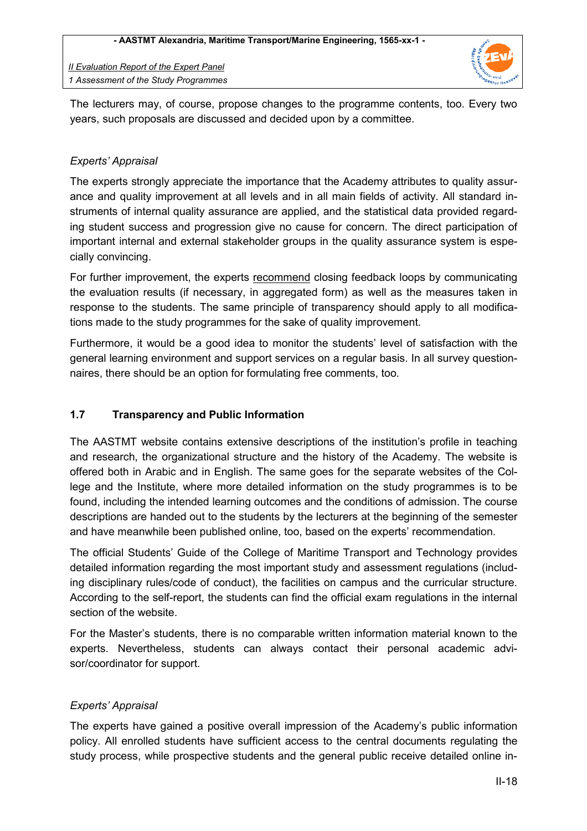

The lecturers may, of course, propose changes to the programme contents, too. Every two years, such proposals are discussed and decided upon by a committee.

## *Experts' Appraisal*

The experts strongly appreciate the importance that the Academy attributes to quality assurance and quality improvement at all levels and in all main fields of activity. All standard instruments of internal quality assurance are applied, and the statistical data provided regarding student success and progression give no cause for concern. The direct participation of important internal and external stakeholder groups in the quality assurance system is especially convincing.

For further improvement, the experts recommend closing feedback loops by communicating the evaluation results (if necessary, in aggregated form) as well as the measures taken in response to the students. The same principle of transparency should apply to all modifications made to the study programmes for the sake of quality improvement.

Furthermore, it would be a good idea to monitor the students' level of satisfaction with the general learning environment and support services on a regular basis. In all survey questionnaires, there should be an option for formulating free comments, too.

## **1.7 Transparency and Public Information**

The AASTMT website contains extensive descriptions of the institution's profile in teaching and research, the organizational structure and the history of the Academy. The website is offered both in Arabic and in English. The same goes for the separate websites of the College and the Institute, where more detailed information on the study programmes is to be found, including the intended learning outcomes and the conditions of admission. The course descriptions are handed out to the students by the lecturers at the beginning of the semester and have meanwhile been published online, too, based on the experts' recommendation.

The official Students' Guide of the College of Maritime Transport and Technology provides detailed information regarding the most important study and assessment regulations (including disciplinary rules/code of conduct), the facilities on campus and the curricular structure. According to the self-report, the students can find the official exam regulations in the internal section of the website.

For the Master's students, there is no comparable written information material known to the experts. Nevertheless, students can always contact their personal academic advisor/coordinator for support.

## *Experts' Appraisal*

The experts have gained a positive overall impression of the Academy's public information policy. All enrolled students have sufficient access to the central documents regulating the study process, while prospective students and the general public receive detailed online in-